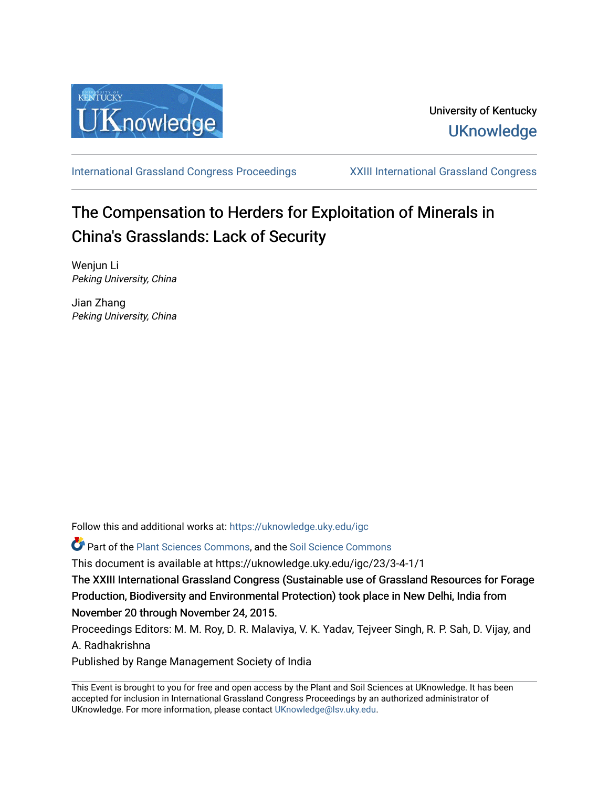

[International Grassland Congress Proceedings](https://uknowledge.uky.edu/igc) [XXIII International Grassland Congress](https://uknowledge.uky.edu/igc/23) 

# The Compensation to Herders for Exploitation of Minerals in China's Grasslands: Lack of Security

Wenjun Li Peking University, China

Jian Zhang Peking University, China

Follow this and additional works at: [https://uknowledge.uky.edu/igc](https://uknowledge.uky.edu/igc?utm_source=uknowledge.uky.edu%2Figc%2F23%2F3-4-1%2F1&utm_medium=PDF&utm_campaign=PDFCoverPages) 

Part of the [Plant Sciences Commons](http://network.bepress.com/hgg/discipline/102?utm_source=uknowledge.uky.edu%2Figc%2F23%2F3-4-1%2F1&utm_medium=PDF&utm_campaign=PDFCoverPages), and the [Soil Science Commons](http://network.bepress.com/hgg/discipline/163?utm_source=uknowledge.uky.edu%2Figc%2F23%2F3-4-1%2F1&utm_medium=PDF&utm_campaign=PDFCoverPages) 

This document is available at https://uknowledge.uky.edu/igc/23/3-4-1/1

The XXIII International Grassland Congress (Sustainable use of Grassland Resources for Forage Production, Biodiversity and Environmental Protection) took place in New Delhi, India from November 20 through November 24, 2015.

Proceedings Editors: M. M. Roy, D. R. Malaviya, V. K. Yadav, Tejveer Singh, R. P. Sah, D. Vijay, and A. Radhakrishna

Published by Range Management Society of India

This Event is brought to you for free and open access by the Plant and Soil Sciences at UKnowledge. It has been accepted for inclusion in International Grassland Congress Proceedings by an authorized administrator of UKnowledge. For more information, please contact [UKnowledge@lsv.uky.edu](mailto:UKnowledge@lsv.uky.edu).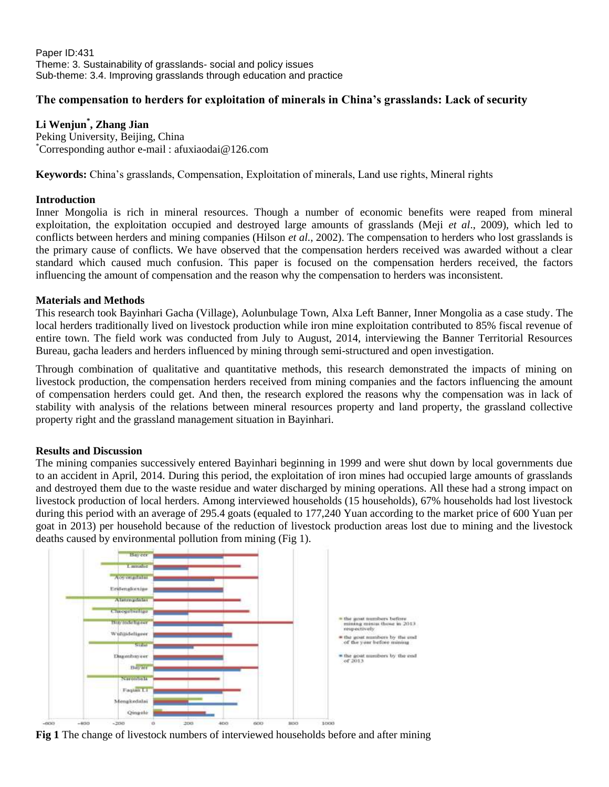Paper ID:431 Theme: 3. Sustainability of grasslands- social and policy issues Sub-theme: 3.4. Improving grasslands through education and practice

## **The compensation to herders for exploitation of minerals in China's grasslands: Lack of security**

## **Li Wenjun\* , Zhang Jian**

Peking University, Beijing, China \*Corresponding author e-mail : afuxiaodai@126.com

**Keywords:** China's grasslands, Compensation, Exploitation of minerals, Land use rights, Mineral rights

#### **Introduction**

Inner Mongolia is rich in mineral resources. Though a number of economic benefits were reaped from mineral exploitation, the exploitation occupied and destroyed large amounts of grasslands (Meji *et al*., 2009), which led to conflicts between herders and mining companies (Hilson *et al.*, 2002). The compensation to herders who lost grasslands is the primary cause of conflicts. We have observed that the compensation herders received was awarded without a clear standard which caused much confusion. This paper is focused on the compensation herders received, the factors influencing the amount of compensation and the reason why the compensation to herders was inconsistent.

#### **Materials and Methods**

This research took Bayinhari Gacha (Village), Aolunbulage Town, Alxa Left Banner, Inner Mongolia as a case study. The local herders traditionally lived on livestock production while iron mine exploitation contributed to 85% fiscal revenue of entire town. The field work was conducted from July to August, 2014, interviewing the Banner Territorial Resources Bureau, gacha leaders and herders influenced by mining through semi-structured and open investigation.

Through combination of qualitative and quantitative methods, this research demonstrated the impacts of mining on livestock production, the compensation herders received from mining companies and the factors influencing the amount of compensation herders could get. And then, the research explored the reasons why the compensation was in lack of stability with analysis of the relations between mineral resources property and land property, the grassland collective property right and the grassland management situation in Bayinhari.

### **Results and Discussion**

The mining companies successively entered Bayinhari beginning in 1999 and were shut down by local governments due to an accident in April, 2014. During this period, the exploitation of iron mines had occupied large amounts of grasslands and destroyed them due to the waste residue and water discharged by mining operations. All these had a strong impact on livestock production of local herders. Among interviewed households (15 households), 67% households had lost livestock during this period with an average of 295.4 goats (equaled to 177,240 Yuan according to the market price of 600 Yuan per goat in 2013) per household because of the reduction of livestock production areas lost due to mining and the livestock deaths caused by environmental pollution from mining (Fig 1).



**Fig 1** The change of livestock numbers of interviewed households before and after mining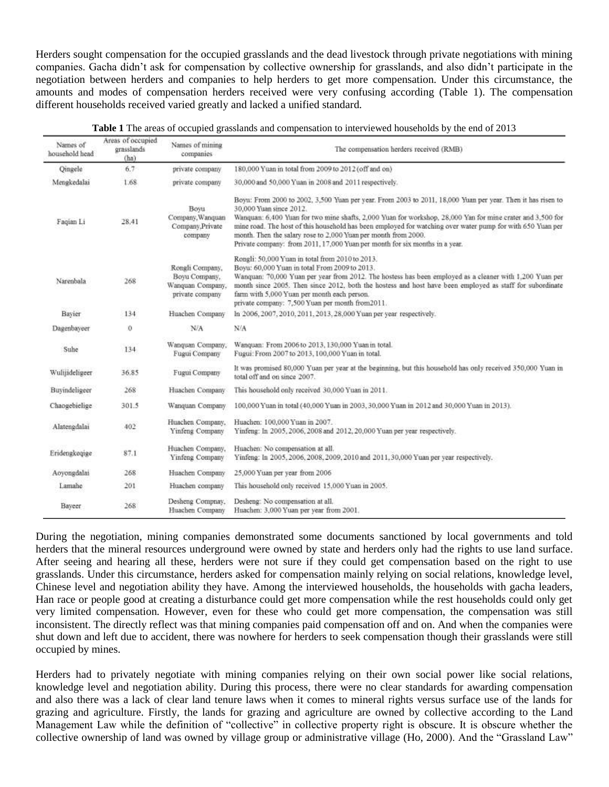Herders sought compensation for the occupied grasslands and the dead livestock through private negotiations with mining companies. Gacha didn't ask for compensation by collective ownership for grasslands, and also didn't participate in the negotiation between herders and companies to help herders to get more compensation. Under this circumstance, the amounts and modes of compensation herders received were very confusing according (Table 1). The compensation different households received varied greatly and lacked a unified standard.

| Names of<br>household head | Areas of occupied.<br>grasslands<br>(ha) | Names of mining<br>companies                                            | The compensation herders received (RMB)                                                                                                                                                                                                                                                                                                                                                                                                                                                                             |  |
|----------------------------|------------------------------------------|-------------------------------------------------------------------------|---------------------------------------------------------------------------------------------------------------------------------------------------------------------------------------------------------------------------------------------------------------------------------------------------------------------------------------------------------------------------------------------------------------------------------------------------------------------------------------------------------------------|--|
| Qingele                    | 6.7                                      | private company                                                         | 180,000 Yuan in total from 2009 to 2012 (off and on)                                                                                                                                                                                                                                                                                                                                                                                                                                                                |  |
| Mengkedalai                | 1.68                                     | private company                                                         | 30,000 and 50,000 Yuan in 2008 and 2011 respectively.                                                                                                                                                                                                                                                                                                                                                                                                                                                               |  |
| Faqian Li                  | 28.41                                    | Boyu<br>Company, Wanquan<br>Company.Private<br>company                  | Boyu: From 2000 to 2002, 3,500 Yuan per year. From 2003 to 2011, 18,000 Yuan per year. Then it has risen to<br>30,000 Yuan since 2012.<br>Wanquan: 6,400 Yuan for two mine shafts, 2,000 Yuan for workshop, 28,000 Yan for mine crater and 3,500 for<br>mine road. The host of this household has been employed for watching over water pump for with 650 Yuan per<br>month. Then the salary rose to 2,000 Yuan per month from 2000.<br>Private company: from 2011, 17,000 Yuan per month for six months in a year. |  |
| Narenbala                  | 268                                      | Rongli Company,<br>Boyu Company,<br>Wanquan Company,<br>private company | Rongli: 50,000 Yuan in total from 2010 to 2013.<br>Boyu: 60,000 Yuan in total From 2009 to 2013.<br>Wanquan: 70,000 Yuan per year from 2012. The hostess has been employed as a cleaner with 1.200 Yuan per<br>month since 2005. Then since 2012, both the hostess and host have been employed as staff for subordinate<br>farm with 5,000 Yuan per month each person.<br>private company: 7,500 Yuan per month from2011.                                                                                           |  |
| Bayier                     | 134                                      | Huachen Company                                                         | In 2006, 2007, 2010, 2011, 2013, 28,000 Yuan per year respectively.                                                                                                                                                                                                                                                                                                                                                                                                                                                 |  |
| Dagenbayeer                | 0                                        | N/A                                                                     | N/A                                                                                                                                                                                                                                                                                                                                                                                                                                                                                                                 |  |
| Suhe                       | 134                                      | Wanquan Company,<br>Fugui Company                                       | Wanquan: From 2006 to 2013, 130,000 Yuan in total.<br>Fugui: From 2007 to 2013, 100,000 Yuan in total.                                                                                                                                                                                                                                                                                                                                                                                                              |  |
| Wulijideligeer             | 36.85                                    | Fugui Company                                                           | It was promised 80,000 Yuan per year at the beginning, but this household has only received 350,000 Yuan in<br>total off and on since 2007.                                                                                                                                                                                                                                                                                                                                                                         |  |
| Buyindeligeer              | 268                                      | Huachen Company                                                         | This household only received 30,000 Yuan in 2011.                                                                                                                                                                                                                                                                                                                                                                                                                                                                   |  |
| Chaogebielige              | 301.5                                    | Wanquan Company                                                         | 100,000 Yuan in total (40,000 Yuan in 2003, 30,000 Yuan in 2012 and 30,000 Yuan in 2013).                                                                                                                                                                                                                                                                                                                                                                                                                           |  |
| Alatengdalai               | 402                                      | Huachen Company,<br>Yinfeng Company                                     | Huachen: 100,000 Yuan in 2007.<br>Yinfeng: In 2005, 2006, 2008 and 2012, 20,000 Yuan per year respectively.                                                                                                                                                                                                                                                                                                                                                                                                         |  |
| Eridengkeqige              | 87.1                                     | Huachen Company,<br>Yinfeng Company                                     | Huachen: No compensation at all.<br>Yinfeng: In 2005.2006.2008.2009.2010 and 2011.30.000 Yuan per year respectively.                                                                                                                                                                                                                                                                                                                                                                                                |  |
| Aoyongdalai                | 268                                      | Huachen Company                                                         | 25,000 Yuan per year from 2006                                                                                                                                                                                                                                                                                                                                                                                                                                                                                      |  |
| Lamahe                     | 201                                      | Huachen company                                                         | This household only received 15,000 Yuan in 2005.                                                                                                                                                                                                                                                                                                                                                                                                                                                                   |  |
| Bayeer                     | 268                                      | Desheng Compnay,<br>Huachen Company                                     | Desheng: No compensation at all.<br>Huachen: 3,000 Yuan per year from 2001.                                                                                                                                                                                                                                                                                                                                                                                                                                         |  |

| Table 1 The areas of occupied grasslands and compensation to interviewed households by the end of 2013 |  |  |  |
|--------------------------------------------------------------------------------------------------------|--|--|--|
|--------------------------------------------------------------------------------------------------------|--|--|--|

During the negotiation, mining companies demonstrated some documents sanctioned by local governments and told herders that the mineral resources underground were owned by state and herders only had the rights to use land surface. After seeing and hearing all these, herders were not sure if they could get compensation based on the right to use grasslands. Under this circumstance, herders asked for compensation mainly relying on social relations, knowledge level, Chinese level and negotiation ability they have. Among the interviewed households, the households with gacha leaders, Han race or people good at creating a disturbance could get more compensation while the rest households could only get very limited compensation. However, even for these who could get more compensation, the compensation was still inconsistent. The directly reflect was that mining companies paid compensation off and on. And when the companies were shut down and left due to accident, there was nowhere for herders to seek compensation though their grasslands were still occupied by mines.

Herders had to privately negotiate with mining companies relying on their own social power like social relations, knowledge level and negotiation ability. During this process, there were no clear standards for awarding compensation and also there was a lack of clear land tenure laws when it comes to mineral rights versus surface use of the lands for grazing and agriculture. Firstly, the lands for grazing and agriculture are owned by collective according to the Land Management Law while the definition of "collective" in collective property right is obscure. It is obscure whether the collective ownership of land was owned by village group or administrative village (Ho, 2000). And the "Grassland Law"